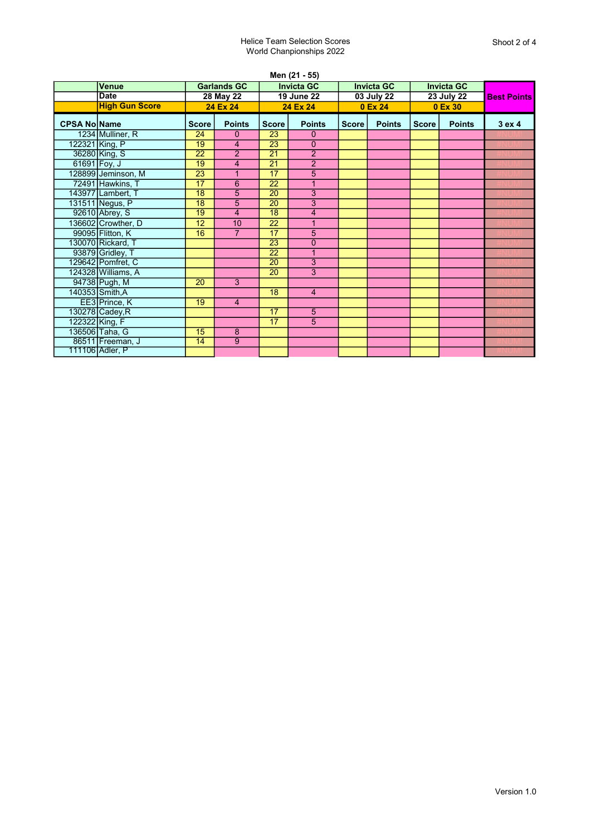## Helice Team Selection Scores World Chanpionships 2022

| <b>Venue</b>          | <b>Garlands GC</b>                                                                                                                                                                                                                                                                                                                                                                                                                                                              |                                                                                                        |                                              |                                                                                                                                        |                                                                                                                                             | <b>Invicta GC</b> |              |               |                    |  |  |
|-----------------------|---------------------------------------------------------------------------------------------------------------------------------------------------------------------------------------------------------------------------------------------------------------------------------------------------------------------------------------------------------------------------------------------------------------------------------------------------------------------------------|--------------------------------------------------------------------------------------------------------|----------------------------------------------|----------------------------------------------------------------------------------------------------------------------------------------|---------------------------------------------------------------------------------------------------------------------------------------------|-------------------|--------------|---------------|--------------------|--|--|
| <b>Date</b>           |                                                                                                                                                                                                                                                                                                                                                                                                                                                                                 |                                                                                                        |                                              |                                                                                                                                        | 03 July 22                                                                                                                                  |                   | 23 July 22   |               | <b>Best Points</b> |  |  |
| <b>High Gun Score</b> |                                                                                                                                                                                                                                                                                                                                                                                                                                                                                 |                                                                                                        |                                              |                                                                                                                                        |                                                                                                                                             |                   | 0 Ex 30      |               |                    |  |  |
|                       | <b>Score</b>                                                                                                                                                                                                                                                                                                                                                                                                                                                                    | <b>Points</b>                                                                                          | <b>Score</b>                                 | <b>Points</b>                                                                                                                          | <b>Score</b>                                                                                                                                | <b>Points</b>     | <b>Score</b> | <b>Points</b> | 3 ex 4             |  |  |
|                       | 24                                                                                                                                                                                                                                                                                                                                                                                                                                                                              | $\Omega$                                                                                               | 23                                           | $\Omega$                                                                                                                               |                                                                                                                                             |                   |              |               |                    |  |  |
|                       |                                                                                                                                                                                                                                                                                                                                                                                                                                                                                 | $\overline{4}$                                                                                         |                                              | $\Omega$                                                                                                                               |                                                                                                                                             |                   |              |               |                    |  |  |
|                       |                                                                                                                                                                                                                                                                                                                                                                                                                                                                                 |                                                                                                        |                                              |                                                                                                                                        |                                                                                                                                             |                   |              |               |                    |  |  |
|                       |                                                                                                                                                                                                                                                                                                                                                                                                                                                                                 | 4                                                                                                      |                                              |                                                                                                                                        |                                                                                                                                             |                   |              |               |                    |  |  |
|                       |                                                                                                                                                                                                                                                                                                                                                                                                                                                                                 | $\overline{1}$                                                                                         |                                              | 5                                                                                                                                      |                                                                                                                                             |                   |              |               |                    |  |  |
|                       |                                                                                                                                                                                                                                                                                                                                                                                                                                                                                 | 6                                                                                                      |                                              | $\mathbf{1}$                                                                                                                           |                                                                                                                                             |                   |              |               |                    |  |  |
|                       |                                                                                                                                                                                                                                                                                                                                                                                                                                                                                 | 5                                                                                                      |                                              |                                                                                                                                        |                                                                                                                                             |                   |              |               |                    |  |  |
|                       |                                                                                                                                                                                                                                                                                                                                                                                                                                                                                 |                                                                                                        |                                              |                                                                                                                                        |                                                                                                                                             |                   |              |               |                    |  |  |
|                       |                                                                                                                                                                                                                                                                                                                                                                                                                                                                                 | $\overline{4}$                                                                                         |                                              | $\overline{4}$                                                                                                                         |                                                                                                                                             |                   |              |               |                    |  |  |
|                       |                                                                                                                                                                                                                                                                                                                                                                                                                                                                                 | 10                                                                                                     | 22                                           | $\mathbf{1}$                                                                                                                           |                                                                                                                                             |                   |              |               |                    |  |  |
|                       | 16                                                                                                                                                                                                                                                                                                                                                                                                                                                                              | $\overline{7}$                                                                                         | 17                                           | 5                                                                                                                                      |                                                                                                                                             |                   |              |               |                    |  |  |
|                       |                                                                                                                                                                                                                                                                                                                                                                                                                                                                                 |                                                                                                        |                                              | $\overline{0}$                                                                                                                         |                                                                                                                                             |                   |              |               |                    |  |  |
|                       |                                                                                                                                                                                                                                                                                                                                                                                                                                                                                 |                                                                                                        | 22                                           | $\mathbf{1}$                                                                                                                           |                                                                                                                                             |                   |              |               |                    |  |  |
|                       |                                                                                                                                                                                                                                                                                                                                                                                                                                                                                 |                                                                                                        |                                              | $\overline{3}$                                                                                                                         |                                                                                                                                             |                   |              |               |                    |  |  |
|                       |                                                                                                                                                                                                                                                                                                                                                                                                                                                                                 |                                                                                                        | 20                                           | 3                                                                                                                                      |                                                                                                                                             |                   |              |               |                    |  |  |
|                       | $\overline{20}$                                                                                                                                                                                                                                                                                                                                                                                                                                                                 | $\overline{3}$                                                                                         |                                              |                                                                                                                                        |                                                                                                                                             |                   |              |               |                    |  |  |
|                       |                                                                                                                                                                                                                                                                                                                                                                                                                                                                                 |                                                                                                        | 18                                           | $\overline{4}$                                                                                                                         |                                                                                                                                             |                   |              |               |                    |  |  |
|                       | 19                                                                                                                                                                                                                                                                                                                                                                                                                                                                              | $\overline{4}$                                                                                         |                                              |                                                                                                                                        |                                                                                                                                             |                   |              |               |                    |  |  |
|                       |                                                                                                                                                                                                                                                                                                                                                                                                                                                                                 |                                                                                                        | 17                                           | $\overline{5}$                                                                                                                         |                                                                                                                                             |                   |              |               |                    |  |  |
|                       |                                                                                                                                                                                                                                                                                                                                                                                                                                                                                 |                                                                                                        | 17                                           | 5                                                                                                                                      |                                                                                                                                             |                   |              |               |                    |  |  |
|                       | 15                                                                                                                                                                                                                                                                                                                                                                                                                                                                              | 8                                                                                                      |                                              |                                                                                                                                        |                                                                                                                                             |                   |              |               |                    |  |  |
|                       | 14                                                                                                                                                                                                                                                                                                                                                                                                                                                                              | 9                                                                                                      |                                              |                                                                                                                                        |                                                                                                                                             |                   |              |               |                    |  |  |
|                       |                                                                                                                                                                                                                                                                                                                                                                                                                                                                                 |                                                                                                        |                                              |                                                                                                                                        |                                                                                                                                             |                   |              |               |                    |  |  |
|                       | <b>CPSA No Name</b><br>1234 Mulliner, R<br>122321 King, P<br>36280 King, S<br>61691 Foy, J<br>128899 Jeminson, M<br>72491 Hawkins, T<br>143977 Lambert, T<br>131511 Negus, P<br>92610 Abrey, S<br>136602 Crowther, D<br>99095 Flitton, K<br>130070 Rickard, T<br>93879 Gridley, T<br>129642 Pomfret, C<br>124328 Williams, A<br>94738 Pugh, M<br>140353 Smith, A<br>EE3 Prince, K<br>130278 Cadey, R<br>122322 King, F<br>136506 Taha, G<br>86511 Freeman, J<br>111106 Adler, P | 19<br>$\overline{22}$<br>19<br>$\overline{23}$<br>17<br>$\overline{18}$<br>$\overline{18}$<br>19<br>12 | 28 May 22<br>24 Ex 24<br>$\overline{2}$<br>5 | $\overline{23}$<br>$\overline{21}$<br>21<br>17<br>$\overline{22}$<br>$\overline{20}$<br>$\overline{20}$<br>18<br>23<br>$\overline{20}$ | Men (21 - 55)<br><b>Invicta GC</b><br><b>19 June 22</b><br>24 Ex 24<br>$\overline{2}$<br>$\overline{2}$<br>$\overline{3}$<br>$\overline{3}$ |                   | 0 Ex 24      |               | <b>Invicta GC</b>  |  |  |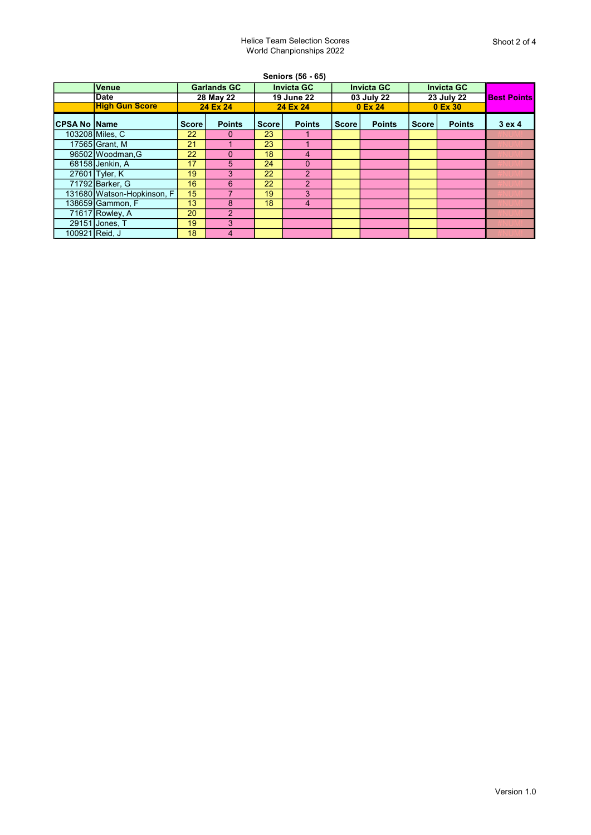## Helice Team Selection Scores World Chanpionships 2022

|                     | Seniors (56 - 65)          |              |                    |                               |                   |                       |                   |              |                   |                    |  |  |
|---------------------|----------------------------|--------------|--------------------|-------------------------------|-------------------|-----------------------|-------------------|--------------|-------------------|--------------------|--|--|
|                     | <b>Venue</b>               |              | <b>Garlands GC</b> |                               | <b>Invicta GC</b> |                       | <b>Invicta GC</b> |              | <b>Invicta GC</b> |                    |  |  |
|                     | <b>Date</b>                |              | 28 May 22          | <b>19 June 22</b><br>24 Ex 24 |                   | 03 July 22<br>0 Ex 24 |                   |              | 23 July 22        | <b>Best Points</b> |  |  |
|                     | <b>High Gun Score</b>      |              | 24 Ex 24           |                               |                   |                       |                   | 0 Ex 30      |                   |                    |  |  |
| <b>CPSA No Name</b> |                            | <b>Score</b> | <b>Points</b>      | <b>Score</b>                  | <b>Points</b>     | <b>Score</b>          | <b>Points</b>     | <b>Score</b> | <b>Points</b>     | 3 ex 4             |  |  |
|                     | 103208 Miles, C            | 22           | $\Omega$           | 23                            |                   |                       |                   |              |                   |                    |  |  |
|                     | 17565 Grant, M             | 21           |                    | 23                            | 1                 |                       |                   |              |                   |                    |  |  |
|                     | 96502 Woodman.G            | 22           | $\Omega$           | 18                            | 4                 |                       |                   |              |                   |                    |  |  |
|                     | 68158 Jenkin, A            | 17           | 5                  | 24                            | $\mathbf{0}$      |                       |                   |              |                   |                    |  |  |
|                     | 27601 Tyler, K             | 19           | 3                  | 22                            | $\overline{2}$    |                       |                   |              |                   |                    |  |  |
|                     | 71792 Barker, G            | 16           | 6                  | 22                            | $\mathcal{P}$     |                       |                   |              |                   |                    |  |  |
|                     | 131680 Watson-Hopkinson, F | 15           | 7                  | 19                            | 3                 |                       |                   |              |                   |                    |  |  |
|                     | 138659 Gammon, F           | 13           | 8                  | 18                            | 4                 |                       |                   |              |                   |                    |  |  |
|                     | 71617 Rowley, A            | 20           | $\overline{2}$     |                               |                   |                       |                   |              |                   |                    |  |  |
|                     | 29151 Jones, T             | 19           | 3                  |                               |                   |                       |                   |              |                   |                    |  |  |
|                     | 100921 Reid. J             | 18           | 4                  |                               |                   |                       |                   |              |                   |                    |  |  |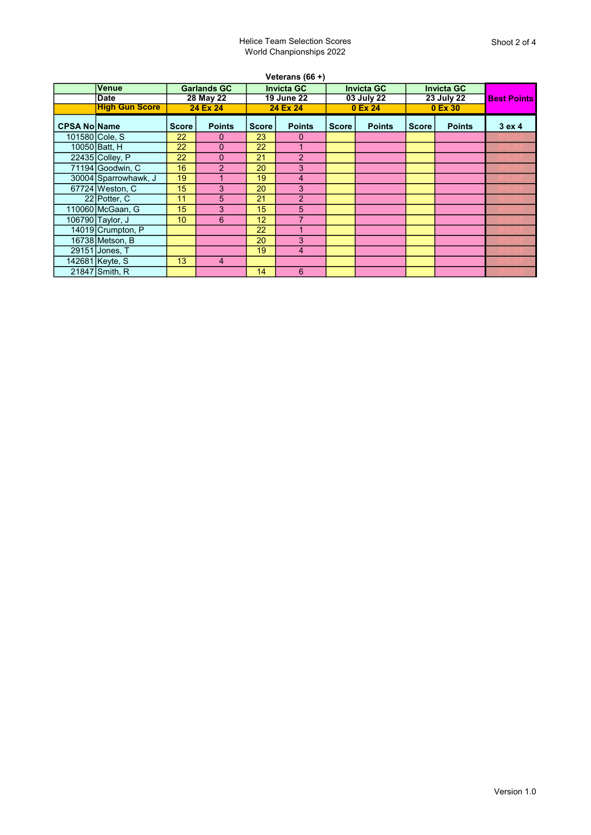| Veterans $(66 +)$   |                       |              |                    |              |                   |              |                   |                   |                   |                    |
|---------------------|-----------------------|--------------|--------------------|--------------|-------------------|--------------|-------------------|-------------------|-------------------|--------------------|
|                     | Venue                 |              | <b>Garlands GC</b> |              | <b>Invicta GC</b> |              | <b>Invicta GC</b> |                   | <b>Invicta GC</b> |                    |
|                     | <b>Date</b>           |              | 28 May 22          |              | <b>19 June 22</b> |              | 03 July 22        | <b>23 July 22</b> |                   | <b>Best Points</b> |
|                     | <b>High Gun Score</b> |              | 24 Ex 24           |              | 24 Ex 24          | 0 Ex 24      |                   | 0 Ex 30           |                   |                    |
| <b>CPSA NolName</b> |                       | <b>Score</b> | <b>Points</b>      | <b>Score</b> | <b>Points</b>     | <b>Score</b> | <b>Points</b>     | <b>Score</b>      | <b>Points</b>     | 3ex <sub>4</sub>   |
|                     | 101580 Cole, S        | 22           | 0                  | 23           | 0                 |              |                   |                   |                   |                    |
|                     | 10050 Batt, H         | 22           | $\Omega$           | 22           | 1                 |              |                   |                   |                   |                    |
|                     | 22435 Colley, P       | 22           | $\Omega$           | 21           | $\overline{2}$    |              |                   |                   |                   |                    |
|                     | 71194 Goodwin, C      | 16           | $\overline{2}$     | 20           | 3                 |              |                   |                   |                   |                    |
|                     | 30004 Sparrowhawk, J  | 19           | 1                  | 19           | 4                 |              |                   |                   |                   |                    |
|                     | 67724 Weston, C       | 15           | 3                  | 20           | 3                 |              |                   |                   |                   |                    |
|                     | 22 Potter, C          | 11           | 5                  | 21           | $\overline{2}$    |              |                   |                   |                   |                    |
|                     | 110060 McGaan, G      | 15           | 3                  | 15           | 5                 |              |                   |                   |                   |                    |
|                     | 106790 Taylor, J      | 10           | 6                  | 12           | 7                 |              |                   |                   |                   |                    |
|                     | 14019 Crumpton, P     |              |                    | 22           |                   |              |                   |                   |                   |                    |
|                     | 16738 Metson, B       |              |                    | 20           | 3                 |              |                   |                   |                   |                    |
|                     | 29151 Jones, T        |              |                    | 19           | $\overline{4}$    |              |                   |                   |                   |                    |
|                     | 142681 Keyte, S       | 13           | $\overline{4}$     |              |                   |              |                   |                   |                   |                    |
|                     | 21847 Smith, R        |              |                    | 14           | 6                 |              |                   |                   |                   |                    |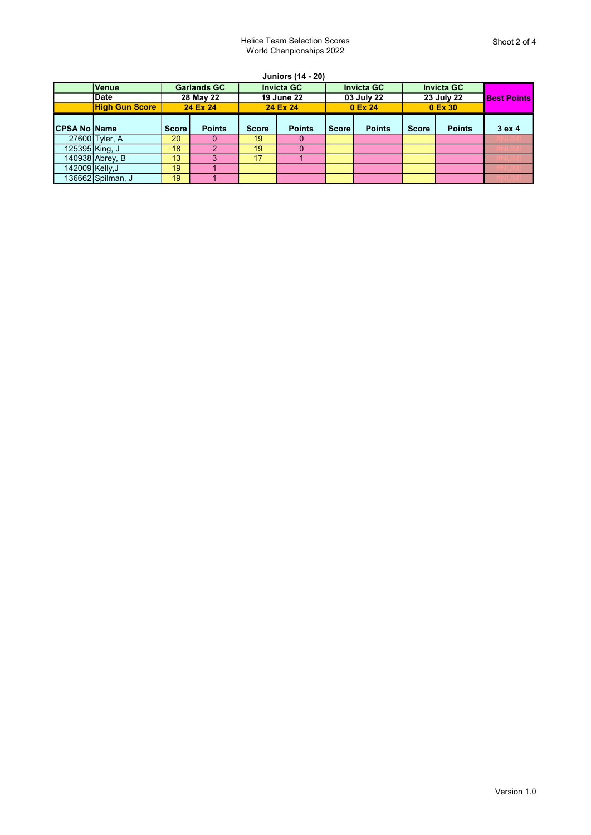| <b>Juniors (14 - 20)</b> |                       |              |                    |                   |               |                   |               |                   |               |                    |
|--------------------------|-----------------------|--------------|--------------------|-------------------|---------------|-------------------|---------------|-------------------|---------------|--------------------|
|                          | Venue                 |              | <b>Garlands GC</b> | <b>Invicta GC</b> |               | <b>Invicta GC</b> |               | <b>Invicta GC</b> |               |                    |
|                          | ∣Date                 |              | 28 May 22          | <b>19 June 22</b> |               | 03 July 22        |               | 23 July 22        |               | <b>Best Points</b> |
|                          | <b>High Gun Score</b> | 24 Ex 24     |                    | 24 Ex 24          |               | 0 Ex 24           | $0$ Ex 30     |                   |               |                    |
| <b>CPSA No Name</b>      |                       | <b>Score</b> | <b>Points</b>      | <b>Score</b>      | <b>Points</b> | <b>Score</b>      | <b>Points</b> | <b>Score</b>      | <b>Points</b> | 3ex4               |
|                          | 27600 Tyler, A        | 20           |                    | 19                | O             |                   |               |                   |               |                    |
|                          | 125395 King, J        | 18           | ົ                  | 19                | $\Omega$      |                   |               |                   |               |                    |
|                          | 140938 Abrey, B       | 13           |                    | 17                |               |                   |               |                   |               |                    |
| 142009 Kelly, J          |                       | 19           |                    |                   |               |                   |               |                   |               |                    |
|                          | 136662 Spilman, J     | 19           |                    |                   |               |                   |               |                   |               |                    |